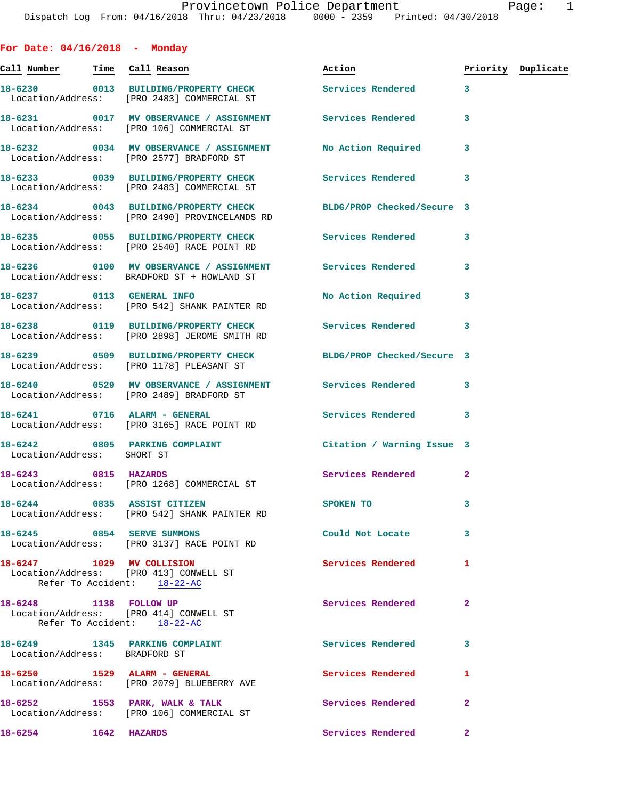Call Number Time Call Reason **Reason Action Action** Priority Duplicate **18-6230 0013 BUILDING/PROPERTY CHECK Services Rendered 3**  Location/Address: [PRO 2483] COMMERCIAL ST **18-6231 0017 MV OBSERVANCE / ASSIGNMENT Services Rendered 3**  Location/Address: [PRO 106] COMMERCIAL ST **18-6232 0034 MV OBSERVANCE / ASSIGNMENT No Action Required 3**  Location/Address: [PRO 2577] BRADFORD ST **18-6233 0039 BUILDING/PROPERTY CHECK Services Rendered 3**  Location/Address: [PRO 2483] COMMERCIAL ST **18-6234 0043 BUILDING/PROPERTY CHECK BLDG/PROP Checked/Secure 3**  Location/Address: [PRO 2490] PROVINCELANDS RD **18-6235 0055 BUILDING/PROPERTY CHECK Services Rendered 3**  Location/Address: [PRO 2540] RACE POINT RD **18-6236 0100 MV OBSERVANCE / ASSIGNMENT Services Rendered 3**  Location/Address: BRADFORD ST + HOWLAND ST **18-6237 0113 GENERAL INFO No Action Required 3**  Location/Address: [PRO 542] SHANK PAINTER RD **18-6238 0119 BUILDING/PROPERTY CHECK Services Rendered 3**  Location/Address: [PRO 2898] JEROME SMITH RD **18-6239 0509 BUILDING/PROPERTY CHECK BLDG/PROP Checked/Secure 3**  Location/Address: [PRO 1178] PLEASANT ST **18-6240 0529 MV OBSERVANCE / ASSIGNMENT Services Rendered 3**  Location/Address: [PRO 2489] BRADFORD ST **18-6241 0716 ALARM - GENERAL Services Rendered 3**  Location/Address: [PRO 3165] RACE POINT RD **18-6242 0805 PARKING COMPLAINT Citation / Warning Issue 3**  Location/Address: SHORT ST **18-6243 0815 HAZARDS Services Rendered 2**  Location/Address: [PRO 1268] COMMERCIAL ST **18-6244 0835 ASSIST CITIZEN SPOKEN TO 3**  Location/Address: [PRO 542] SHANK PAINTER RD **18-6245 0854 SERVE SUMMONS Could Not Locate 3**  Location/Address: [PRO 3137] RACE POINT RD **18-6247 1029 MV COLLISION Services Rendered 1**  Location/Address: [PRO 413] CONWELL ST Refer To Accident: 18-22-AC 18-6248 1138 FOLLOW UP **Services Rendered** 2 Location/Address: [PRO 414] CONWELL ST Refer To Accident: 18-22-AC 18-6249 1345 PARKING COMPLAINT **Services Rendered** 3 Location/Address: BRADFORD ST **18-6250 1529 ALARM - GENERAL Services Rendered 1**  Location/Address: [PRO 2079] BLUEBERRY AVE

18-6252 **1553 PARK, WALK & TALK** Services Rendered 2 Location/Address: [PRO 106] COMMERCIAL ST

**For Date: 04/16/2018 - Monday**

**18-6254 1642 HAZARDS Services Rendered 2**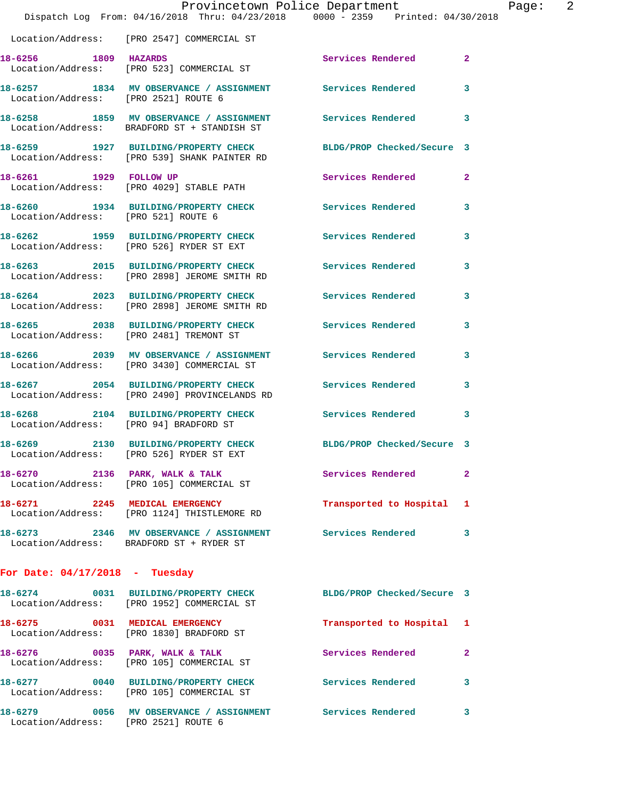|                                      | Provincetown Police Department                                                         |                            |                |
|--------------------------------------|----------------------------------------------------------------------------------------|----------------------------|----------------|
|                                      | Dispatch Log From: 04/16/2018 Thru: 04/23/2018 0000 - 2359 Printed: 04/30/2018         |                            |                |
|                                      | Location/Address: [PRO 2547] COMMERCIAL ST                                             |                            |                |
| 18-6256 1809 HAZARDS                 | Location/Address: [PRO 523] COMMERCIAL ST                                              | <b>Services Rendered</b>   | $\overline{a}$ |
| Location/Address: [PRO 2521] ROUTE 6 | 18-6257 1834 MV OBSERVANCE / ASSIGNMENT                                                | Services Rendered          | 3              |
|                                      | 18-6258 1859 MV OBSERVANCE / ASSIGNMENT<br>Location/Address: BRADFORD ST + STANDISH ST | Services Rendered          | 3              |
|                                      | 18-6259 1927 BUILDING/PROPERTY CHECK<br>Location/Address: [PRO 539] SHANK PAINTER RD   | BLDG/PROP Checked/Secure 3 |                |
| 18-6261 1929 FOLLOW UP               | Location/Address: [PRO 4029] STABLE PATH                                               | Services Rendered          | $\mathbf{2}$   |
| Location/Address: [PRO 521] ROUTE 6  | 18-6260 1934 BUILDING/PROPERTY CHECK                                                   | <b>Services Rendered</b>   | 3              |
|                                      | 18-6262 1959 BUILDING/PROPERTY CHECK<br>Location/Address: [PRO 526] RYDER ST EXT       | <b>Services Rendered</b>   | 3              |
|                                      | 18-6263 2015 BUILDING/PROPERTY CHECK<br>Location/Address: [PRO 2898] JEROME SMITH RD   | <b>Services Rendered</b>   | 3              |
|                                      | 18-6264 2023 BUILDING/PROPERTY CHECK<br>Location/Address: [PRO 2898] JEROME SMITH RD   | <b>Services Rendered</b>   | 3              |
|                                      | 18-6265 2038 BUILDING/PROPERTY CHECK<br>Location/Address: [PRO 2481] TREMONT ST        | <b>Services Rendered</b>   | 3              |
|                                      | 18-6266 2039 MV OBSERVANCE / ASSIGNMENT<br>Location/Address: [PRO 3430] COMMERCIAL ST  | <b>Services Rendered</b>   | 3              |
|                                      | 18-6267 2054 BUILDING/PROPERTY CHECK<br>Location/Address: [PRO 2490] PROVINCELANDS RD  | <b>Services Rendered</b>   | 3              |
|                                      | 18-6268 2104 BUILDING/PROPERTY CHECK<br>Location/Address: [PRO 94] BRADFORD ST         | <b>Services Rendered</b>   | 3              |
|                                      | 18-6269 2130 BUILDING/PROPERTY CHECK<br>Location/Address: [PRO 526] RYDER ST EXT       | BLDG/PROP Checked/Secure 3 |                |
|                                      | 18-6270 2136 PARK, WALK & TALK<br>Location/Address: [PRO 105] COMMERCIAL ST            | Services Rendered          | 2              |
|                                      | 18-6271 2245 MEDICAL EMERGENCY<br>Location/Address: [PRO 1124] THISTLEMORE RD          | Transported to Hospital    | 1              |
|                                      | 18-6273 2346 MV OBSERVANCE / ASSIGNMENT<br>Location/Address: BRADFORD ST + RYDER ST    | <b>Services Rendered</b>   | 3              |
| For Date: $04/17/2018$ - Tuesday     |                                                                                        |                            |                |
|                                      | 18-6274 0031 BUILDING/PROPERTY CHECK<br>Location/Address: [PRO 1952] COMMERCIAL ST     | BLDG/PROP Checked/Secure 3 |                |
|                                      | 18-6275 0031 MEDICAL EMERGENCY<br>Location/Address: [PRO 1830] BRADFORD ST             | Transported to Hospital    | 1              |
|                                      | 18-6276 0035 PARK, WALK & TALK<br>Location/Address: [PRO 105] COMMERCIAL ST            | Services Rendered          | 2              |
|                                      | 18-6277 0040 BUILDING/PROPERTY CHECK<br>Location/Address: [PRO 105] COMMERCIAL ST      | Services Rendered          | 3              |
| Location/Address: [PRO 2521] ROUTE 6 | 18-6279 0056 MV OBSERVANCE / ASSIGNMENT Services Rendered                              |                            | з              |

Page:  $2$ <br>  $2^{18}$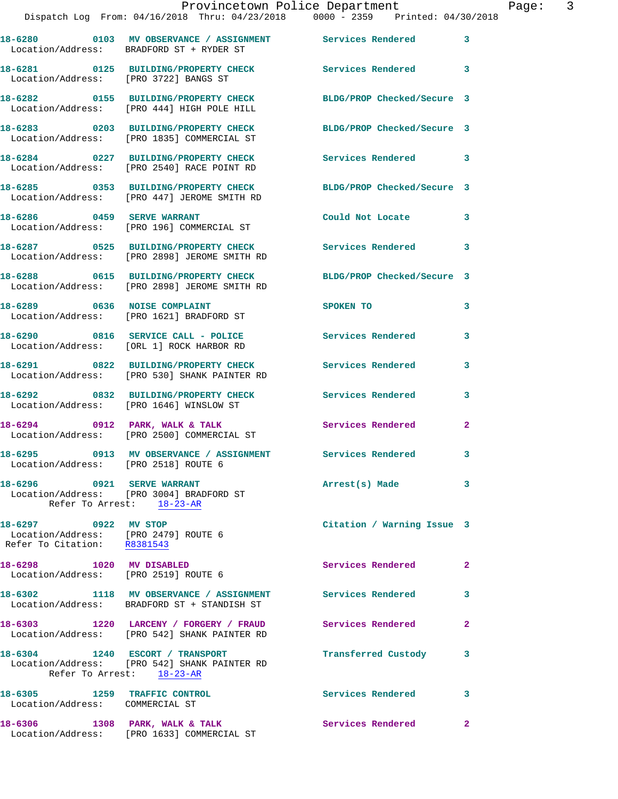|                                                                                             | Provincetown Police Department<br>Dispatch Log From: 04/16/2018 Thru: 04/23/2018 0000 - 2359 Printed: 04/30/2018 |                            |                |
|---------------------------------------------------------------------------------------------|------------------------------------------------------------------------------------------------------------------|----------------------------|----------------|
|                                                                                             | 18-6280 0103 MV OBSERVANCE / ASSIGNMENT Services Rendered<br>Location/Address: BRADFORD ST + RYDER ST            |                            | 3              |
| Location/Address: [PRO 3722] BANGS ST                                                       | 18-6281 0125 BUILDING/PROPERTY CHECK Services Rendered                                                           |                            | 3              |
|                                                                                             | 18-6282 0155 BUILDING/PROPERTY CHECK<br>Location/Address: [PRO 444] HIGH POLE HILL                               | BLDG/PROP Checked/Secure 3 |                |
|                                                                                             | 18-6283 0203 BUILDING/PROPERTY CHECK BLDG/PROP Checked/Secure 3<br>Location/Address: [PRO 1835] COMMERCIAL ST    |                            |                |
|                                                                                             | 18-6284 0227 BUILDING/PROPERTY CHECK<br>Location/Address: [PRO 2540] RACE POINT RD                               | Services Rendered          | 3              |
|                                                                                             | 18-6285 0353 BUILDING/PROPERTY CHECK BLDG/PROP Checked/Secure 3<br>Location/Address: [PRO 447] JEROME SMITH RD   |                            |                |
|                                                                                             | 18-6286      0459   SERVE WARRANT<br>Location/Address:   [PRO 196] COMMERCIAL ST                                 | Could Not Locate           | 3              |
|                                                                                             | 18-6287 0525 BUILDING/PROPERTY CHECK Services Rendered<br>Location/Address: [PRO 2898] JEROME SMITH RD           |                            | 3              |
|                                                                                             | 18-6288 0615 BUILDING/PROPERTY CHECK<br>Location/Address: [PRO 2898] JEROME SMITH RD                             | BLDG/PROP Checked/Secure 3 |                |
|                                                                                             | 18-6289 0636 NOISE COMPLAINT<br>Location/Address: [PRO 1621] BRADFORD ST                                         | SPOKEN TO                  | 3              |
|                                                                                             | 18-6290 0816 SERVICE CALL - POLICE<br>Location/Address: [ORL 1] ROCK HARBOR RD                                   | Services Rendered          | 3              |
|                                                                                             | 18-6291 0822 BUILDING/PROPERTY CHECK<br>Location/Address: [PRO 530] SHANK PAINTER RD                             | Services Rendered          | 3              |
|                                                                                             | 18-6292 0832 BUILDING/PROPERTY CHECK Services Rendered<br>Location/Address: [PRO 1646] WINSLOW ST                |                            | 3              |
|                                                                                             | 18-6294 0912 PARK, WALK & TALK<br>Location/Address: [PRO 2500] COMMERCIAL ST                                     | <b>Services Rendered</b>   | $\overline{a}$ |
| Location/Address: [PRO 2518] ROUTE 6                                                        | 18-6295 0913 MV OBSERVANCE / ASSIGNMENT                                                                          | Services Rendered          | 3              |
| 18-6296 0921 SERVE WARRANT<br>Refer To Arrest: 18-23-AR                                     | Location/Address: [PRO 3004] BRADFORD ST                                                                         | Arrest(s) Made             | 3              |
| 18-6297 0922 MV STOP<br>Location/Address: [PRO 2479] ROUTE 6<br>Refer To Citation: R8381543 |                                                                                                                  | Citation / Warning Issue 3 |                |
| 18-6298 1020 MV DISABLED<br>Location/Address: [PRO 2519] ROUTE 6                            |                                                                                                                  | <b>Services Rendered</b>   | $\mathbf{2}$   |
|                                                                                             | 18-6302 1118 MV OBSERVANCE / ASSIGNMENT Services Rendered<br>Location/Address: BRADFORD ST + STANDISH ST         |                            | 3              |
|                                                                                             | 18-6303 1220 LARCENY / FORGERY / FRAUD<br>Location/Address: [PRO 542] SHANK PAINTER RD                           | <b>Services Rendered</b>   | 2              |
| 18-6304 1240 ESCORT / TRANSPORT                                                             | Location/Address: [PRO 542] SHANK PAINTER RD<br>Refer To Arrest: 18-23-AR                                        | Transferred Custody        | 3              |
| 18-6305 1259 TRAFFIC CONTROL<br>Location/Address: COMMERCIAL ST                             |                                                                                                                  | Services Rendered          | 3              |
| 18-6306 1308 PARK, WALK & TALK                                                              |                                                                                                                  | Services Rendered          | $\mathbf{2}$   |

Location/Address: [PRO 1633] COMMERCIAL ST

Page: 3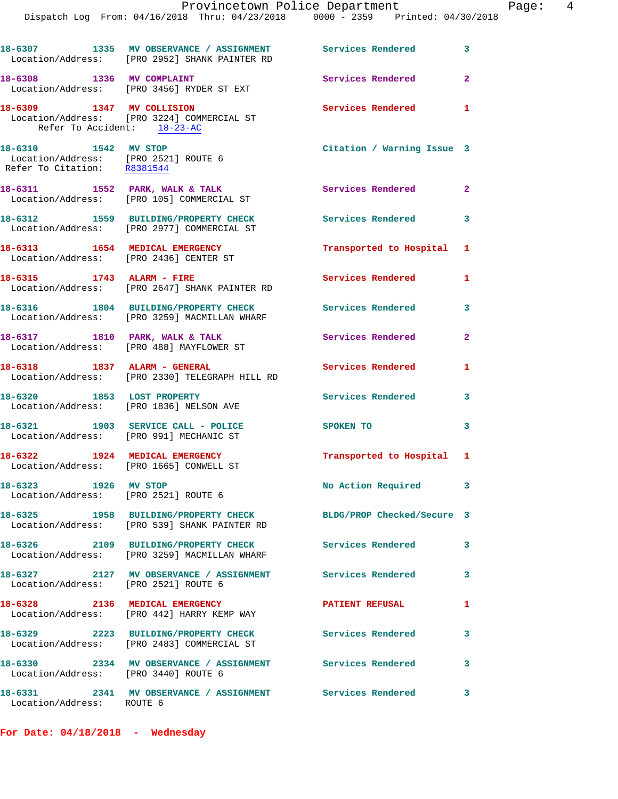|                                                                                             | Provincetown Police Department<br>Dispatch Log From: 04/16/2018 Thru: 04/23/2018 0000 - 2359 Printed: 04/30/2018 |                            |                         |
|---------------------------------------------------------------------------------------------|------------------------------------------------------------------------------------------------------------------|----------------------------|-------------------------|
|                                                                                             | 18-6307 1335 MV OBSERVANCE / ASSIGNMENT Services Rendered<br>Location/Address: [PRO 2952] SHANK PAINTER RD       |                            | 3                       |
| 18-6308 1336 MV COMPLAINT                                                                   | Location/Address: [PRO 3456] RYDER ST EXT                                                                        | Services Rendered          | $\mathbf{2}$            |
| Refer To Accident: 18-23-AC                                                                 | 18-6309 1347 MV COLLISION<br>Location/Address: [PRO 3224] COMMERCIAL ST                                          | Services Rendered          | 1                       |
| 18-6310 1542 MV STOP<br>Location/Address: [PRO 2521] ROUTE 6<br>Refer To Citation: R8381544 |                                                                                                                  | Citation / Warning Issue 3 |                         |
|                                                                                             | 18-6311 1552 PARK, WALK & TALK<br>Location/Address: [PRO 105] COMMERCIAL ST                                      | Services Rendered          | $\mathbf{2}$            |
|                                                                                             | 18-6312 1559 BUILDING/PROPERTY CHECK<br>Location/Address: [PRO 2977] COMMERCIAL ST                               | Services Rendered          | 3                       |
| 18-6313 1654 MEDICAL EMERGENCY                                                              | Location/Address: [PRO 2436] CENTER ST                                                                           | Transported to Hospital    | 1                       |
|                                                                                             | 18-6315 1743 ALARM - FIRE<br>Location/Address: [PRO 2647] SHANK PAINTER RD                                       | <b>Services Rendered</b>   | 1                       |
|                                                                                             | 18-6316 1804 BUILDING/PROPERTY CHECK Services Rendered<br>Location/Address: [PRO 3259] MACMILLAN WHARF           |                            | 3                       |
|                                                                                             | 18-6317 1810 PARK, WALK & TALK<br>Location/Address: [PRO 488] MAYFLOWER ST                                       | Services Rendered          | $\overline{\mathbf{2}}$ |
| 18-6318 1837 ALARM - GENERAL                                                                | Location/Address: [PRO 2330] TELEGRAPH HILL RD                                                                   | <b>Services Rendered</b>   | 1                       |
| Location/Address: [PRO 1836] NELSON AVE                                                     | 18-6320 1853 LOST PROPERTY                                                                                       | <b>Services Rendered</b>   | 3                       |
|                                                                                             | 18-6321 1903 SERVICE CALL - POLICE<br>Location/Address: [PRO 991] MECHANIC ST                                    | SPOKEN TO                  | 3                       |
| 18-6322 1924 MEDICAL EMERGENCY<br>Location/Address: [PRO 1665] CONWELL ST                   |                                                                                                                  | Transported to Hospital 1  |                         |
| 18-6323 1926 MV STOP<br>Location/Address: [PRO 2521] ROUTE 6                                |                                                                                                                  | No Action Required         | 3                       |
|                                                                                             | 18-6325 1958 BUILDING/PROPERTY CHECK<br>Location/Address: [PRO 539] SHANK PAINTER RD                             | BLDG/PROP Checked/Secure 3 |                         |
|                                                                                             | 18-6326 2109 BUILDING/PROPERTY CHECK Services Rendered<br>Location/Address: [PRO 3259] MACMILLAN WHARF           |                            | 3                       |
| Location/Address: [PRO 2521] ROUTE 6                                                        | 18-6327 		 2127 MV OBSERVANCE / ASSIGNMENT Services Rendered                                                     |                            | 3                       |
|                                                                                             | 18-6328 2136 MEDICAL EMERGENCY<br>Location/Address: [PRO 442] HARRY KEMP WAY                                     | <b>PATIENT REFUSAL</b>     | 1                       |
|                                                                                             | 18-6329 2223 BUILDING/PROPERTY CHECK<br>Location/Address: [PRO 2483] COMMERCIAL ST                               | Services Rendered          | 3                       |
| Location/Address: [PRO 3440] ROUTE 6                                                        | 18-6330 2334 MV OBSERVANCE / ASSIGNMENT                                                                          | <b>Services Rendered</b>   | 3                       |
|                                                                                             |                                                                                                                  |                            | $\mathbf{3}$            |

Page: 4

Location/Address: ROUTE 6

**For Date: 04/18/2018 - Wednesday**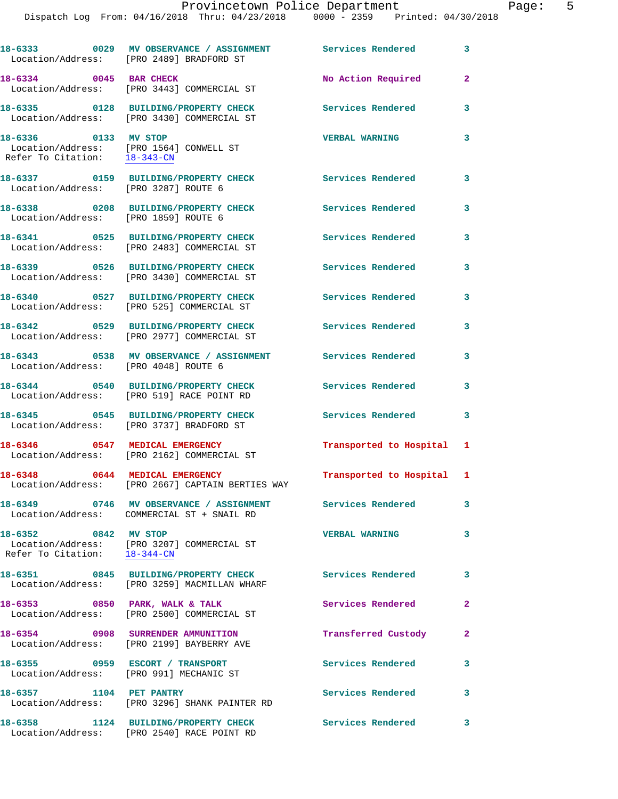|                                                      | 18-6333 60029 MV OBSERVANCE / ASSIGNMENT Services Rendered<br>Location/Address: [PRO 2489] BRADFORD ST  |                           | 3            |
|------------------------------------------------------|---------------------------------------------------------------------------------------------------------|---------------------------|--------------|
| 18-6334 0045 BAR CHECK                               | Location/Address: [PRO 3443] COMMERCIAL ST                                                              | No Action Required        | $\mathbf{2}$ |
|                                                      | 18-6335 0128 BUILDING/PROPERTY CHECK<br>Location/Address: [PRO 3430] COMMERCIAL ST                      | Services Rendered         | 3            |
| 18-6336 0133 MV STOP<br>Refer To Citation: 18-343-CN | Location/Address: [PRO 1564] CONWELL ST                                                                 | <b>VERBAL WARNING</b>     | 3            |
| Location/Address: [PRO 3287] ROUTE 6                 | 18-6337 0159 BUILDING/PROPERTY CHECK                                                                    | <b>Services Rendered</b>  | 3            |
| Location/Address: [PRO 1859] ROUTE 6                 | 18-6338 0208 BUILDING/PROPERTY CHECK                                                                    | Services Rendered         | 3            |
|                                                      | 18-6341 0525 BUILDING/PROPERTY CHECK<br>Location/Address: [PRO 2483] COMMERCIAL ST                      | Services Rendered         | 3            |
|                                                      | 18-6339 0526 BUILDING/PROPERTY CHECK<br>Location/Address: [PRO 3430] COMMERCIAL ST                      | Services Rendered         | 3            |
|                                                      | 18-6340 0527 BUILDING/PROPERTY CHECK<br>Location/Address: [PRO 525] COMMERCIAL ST                       | Services Rendered         | 3            |
|                                                      | 18-6342 0529 BUILDING/PROPERTY CHECK<br>Location/Address: [PRO 2977] COMMERCIAL ST                      | Services Rendered         | 3            |
| Location/Address: [PRO 4048] ROUTE 6                 | 18-6343 		 0538 MV OBSERVANCE / ASSIGNMENT Services Rendered                                            |                           | 3            |
|                                                      | 18-6344 0540 BUILDING/PROPERTY CHECK<br>Location/Address: [PRO 519] RACE POINT RD                       | Services Rendered         | 3            |
|                                                      | 18-6345 0545 BUILDING/PROPERTY CHECK<br>Location/Address: [PRO 3737] BRADFORD ST                        | Services Rendered         | 3            |
|                                                      | 18-6346 0547 MEDICAL EMERGENCY<br>Location/Address: [PRO 2162] COMMERCIAL ST                            | Transported to Hospital   | 1            |
| 18-6348 0644 MEDICAL EMERGENCY                       | Location/Address: [PRO 2667] CAPTAIN BERTIES WAY                                                        | Transported to Hospital 1 |              |
|                                                      | 18-6349 0746 MV OBSERVANCE / ASSIGNMENT Services Rendered<br>Location/Address: COMMERCIAL ST + SNAIL RD |                           | 3            |
| 18-6352 0842 MV STOP<br>Refer To Citation: 18-344-CN | Location/Address: [PRO 3207] COMMERCIAL ST                                                              | <b>VERBAL WARNING</b>     | 3            |
|                                                      | 18-6351 0845 BUILDING/PROPERTY CHECK<br>Location/Address: [PRO 3259] MACMILLAN WHARF                    | <b>Services Rendered</b>  | 3            |
|                                                      | 18-6353 0850 PARK, WALK & TALK<br>Location/Address: [PRO 2500] COMMERCIAL ST                            | Services Rendered         | 2            |
|                                                      | 18-6354 0908 SURRENDER AMMUNITION<br>Location/Address: [PRO 2199] BAYBERRY AVE                          | Transferred Custody       | 2            |
|                                                      | 18-6355 0959 ESCORT / TRANSPORT<br>Location/Address: [PRO 991] MECHANIC ST                              | <b>Services Rendered</b>  | 3            |
| 18-6357 1104 PET PANTRY                              | Location/Address: [PRO 3296] SHANK PAINTER RD                                                           | <b>Services Rendered</b>  | 3            |
|                                                      | 18-6358 1124 BUILDING/PROPERTY CHECK<br>Location/Address: [PRO 2540] RACE POINT RD                      | Services Rendered         | 3            |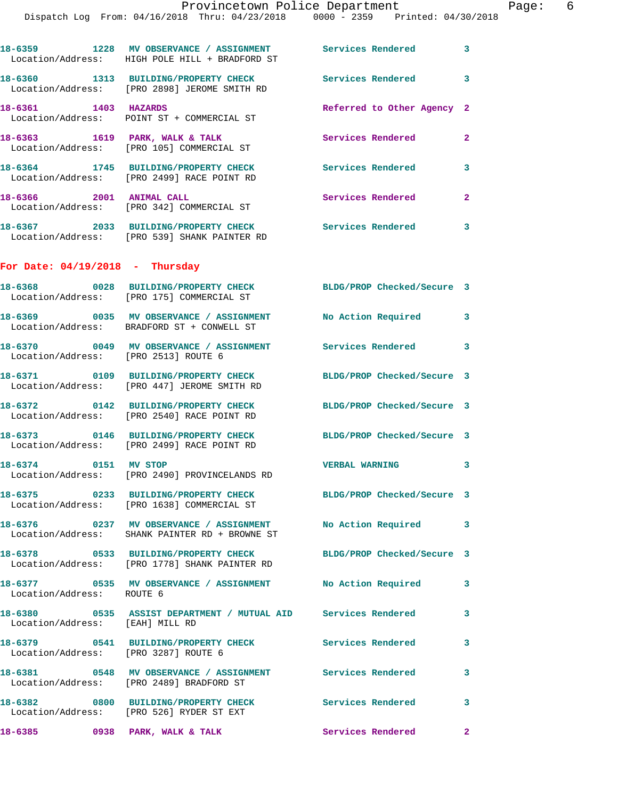Dispatch Log From: 04/16/2018 Thru: 04/23/2018 0000 - 2359 Printed: 04/30/2018

|                                      | 18-6359 1228 MV OBSERVANCE / ASSIGNMENT Services Rendered<br>Location/Address: HIGH POLE HILL + BRADFORD ST  |                            | 3                       |
|--------------------------------------|--------------------------------------------------------------------------------------------------------------|----------------------------|-------------------------|
|                                      | 18-6360 1313 BUILDING/PROPERTY CHECK<br>Location/Address: [PRO 2898] JEROME SMITH RD                         | Services Rendered          | $\overline{\mathbf{3}}$ |
| 18-6361 1403 HAZARDS                 | Location/Address: POINT ST + COMMERCIAL ST                                                                   | Referred to Other Agency 2 |                         |
|                                      | 18-6363 1619 PARK, WALK & TALK<br>Location/Address: [PRO 105] COMMERCIAL ST                                  | Services Rendered          | $\mathbf{2}$            |
|                                      | 18-6364 1745 BUILDING/PROPERTY CHECK<br>Location/Address: [PRO 2499] RACE POINT RD                           | <b>Services Rendered</b>   | 3                       |
| 18-6366 2001 ANIMAL CALL             | Location/Address: [PRO 342] COMMERCIAL ST                                                                    | Services Rendered          | $\mathbf{2}$            |
|                                      | 18-6367 2033 BUILDING/PROPERTY CHECK<br>Location/Address: [PRO 539] SHANK PAINTER RD                         | Services Rendered          | 3                       |
| For Date: $04/19/2018$ - Thursday    |                                                                                                              |                            |                         |
|                                      | 18-6368 0028 BUILDING/PROPERTY CHECK BLDG/PROP Checked/Secure 3<br>Location/Address: [PRO 175] COMMERCIAL ST |                            |                         |
|                                      | 18-6369 0035 MV OBSERVANCE / ASSIGNMENT<br>Location/Address: BRADFORD ST + CONWELL ST                        | No Action Required 3       |                         |
| Location/Address: [PRO 2513] ROUTE 6 | 18-6370 0049 MV OBSERVANCE / ASSIGNMENT Services Rendered 3                                                  |                            |                         |
|                                      | 18-6371 0109 BUILDING/PROPERTY CHECK<br>Location/Address: [PRO 447] JEROME SMITH RD                          | BLDG/PROP Checked/Secure 3 |                         |
|                                      | 18-6372 0142 BUILDING/PROPERTY CHECK<br>Location/Address: [PRO 2540] RACE POINT RD                           | BLDG/PROP Checked/Secure 3 |                         |
|                                      | 18-6373 0146 BUILDING/PROPERTY CHECK<br>Location/Address: [PRO 2499] RACE POINT RD                           | BLDG/PROP Checked/Secure 3 |                         |
| 18-6374 0151 MV STOP                 | Location/Address: [PRO 2490] PROVINCELANDS RD                                                                | <b>VERBAL WARNING</b>      | 3                       |
|                                      | 18-6375 0233 BUILDING/PROPERTY CHECK<br>Location/Address: [PRO 1638] COMMERCIAL ST                           | BLDG/PROP Checked/Secure 3 |                         |
|                                      | 18-6376 0237 MV OBSERVANCE / ASSIGNMENT<br>Location/Address: SHANK PAINTER RD + BROWNE ST                    | No Action Required 3       |                         |
|                                      | 18-6378 0533 BUILDING/PROPERTY CHECK<br>Location/Address: [PRO 1778] SHANK PAINTER RD                        | BLDG/PROP Checked/Secure 3 |                         |
| Location/Address: ROUTE 6            | 18-6377 0535 MV OBSERVANCE / ASSIGNMENT No Action Required 3                                                 |                            |                         |
| Location/Address: [EAH] MILL RD      | 18-6380  0535  ASSIST DEPARTMENT / MUTUAL AID  Services Rendered                                             |                            | 3                       |
| Location/Address: [PRO 3287] ROUTE 6 | 18-6379 		 0541 BUILDING/PROPERTY CHECK Services Rendered                                                    |                            | 3                       |
|                                      | 18-6381 0548 MV OBSERVANCE / ASSIGNMENT Services Rendered<br>Location/Address: [PRO 2489] BRADFORD ST        |                            | 3                       |
|                                      | 18-6382 0800 BUILDING/PROPERTY CHECK<br>Location/Address: [PRO 526] RYDER ST EXT                             | Services Rendered          | 3                       |
|                                      | 18-6385 0938 PARK, WALK & TALK                                                                               | Services Rendered          | $\mathbf{2}$            |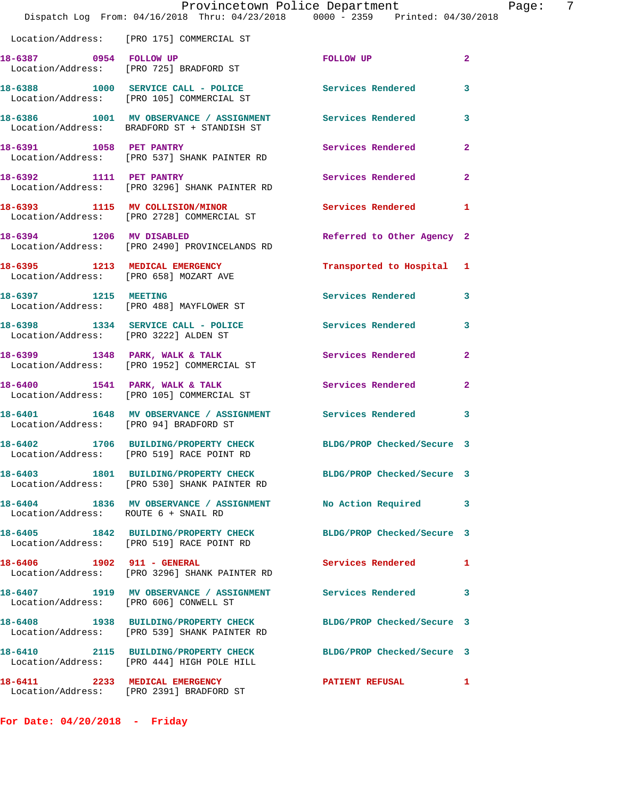|                                        |                                                                                      | Provincetown Police Department<br>Dispatch Log From: 04/16/2018 Thru: 04/23/2018 0000 - 2359 Printed: 04/30/2018 | Ρa             |  |
|----------------------------------------|--------------------------------------------------------------------------------------|------------------------------------------------------------------------------------------------------------------|----------------|--|
|                                        | Location/Address: [PRO 175] COMMERCIAL ST                                            |                                                                                                                  |                |  |
|                                        | 18-6387 0954 FOLLOW UP<br>Location/Address: [PRO 725] BRADFORD ST                    | FOLLOW UP                                                                                                        | $\overline{2}$ |  |
|                                        | Location/Address: [PRO 105] COMMERCIAL ST                                            | 18-6388 1000 SERVICE CALL - POLICE Services Rendered                                                             | 3              |  |
|                                        |                                                                                      | 18-6386 1001 MV OBSERVANCE / ASSIGNMENT Services Rendered<br>Location/Address: BRADFORD ST + STANDISH ST         | 3              |  |
|                                        | 18-6391 1058 PET PANTRY<br>Location/Address: [PRO 537] SHANK PAINTER RD              | Services Rendered                                                                                                | $\mathbf{2}$   |  |
|                                        | 18-6392 1111 PET PANTRY<br>Location/Address: [PRO 3296] SHANK PAINTER RD             | Services Rendered                                                                                                | $\overline{a}$ |  |
|                                        | 18-6393 1115 MV COLLISION/MINOR<br>Location/Address: [PRO 2728] COMMERCIAL ST        | <b>Services Rendered</b>                                                                                         | 1              |  |
|                                        | 18-6394 1206 MV DISABLED<br>Location/Address: [PRO 2490] PROVINCELANDS RD            | Referred to Other Agency 2                                                                                       |                |  |
| 18-6395 1213 MEDICAL EMERGENCY         | Location/Address: [PRO 658] MOZART AVE                                               | Transported to Hospital 1                                                                                        |                |  |
| 18-6397 1215 MEETING                   | Location/Address: [PRO 488] MAYFLOWER ST                                             | Services Rendered                                                                                                | 3              |  |
| Location/Address: [PRO 3222] ALDEN ST  |                                                                                      | 18-6398 1334 SERVICE CALL - POLICE Services Rendered                                                             | 3              |  |
|                                        | 18-6399 1348 PARK, WALK & TALK<br>Location/Address: [PRO 1952] COMMERCIAL ST         | Services Rendered                                                                                                | $\mathbf{2}$   |  |
|                                        | 18-6400 1541 PARK, WALK & TALK<br>Location/Address: [PRO 105] COMMERCIAL ST          | Services Rendered                                                                                                | 2              |  |
| Location/Address: [PRO 94] BRADFORD ST |                                                                                      | 18-6401 1648 MV OBSERVANCE / ASSIGNMENT Services Rendered                                                        | 3              |  |
| $18 - 6402$                            | Location/Address: [PRO 519] RACE POINT RD                                            | 1706 BUILDING/PROPERTY CHECK BLDG/PROP Checked/Secure 3                                                          |                |  |
|                                        | Location/Address: [PRO 530] SHANK PAINTER RD                                         | 18-6403 1801 BUILDING/PROPERTY CHECK BLDG/PROP Checked/Secure 3                                                  |                |  |
| Location/Address: ROUTE 6 + SNAIL RD   |                                                                                      | 18-6404 1836 MV OBSERVANCE / ASSIGNMENT No Action Required                                                       | 3              |  |
|                                        | 18-6405 1842 BUILDING/PROPERTY CHECK<br>Location/Address: [PRO 519] RACE POINT RD    | BLDG/PROP Checked/Secure 3                                                                                       |                |  |
| 18-6406 1902 911 - GENERAL             | Location/Address: [PRO 3296] SHANK PAINTER RD                                        | Services Rendered                                                                                                | 1              |  |
| Location/Address: [PRO 606] CONWELL ST |                                                                                      | 18-6407 1919 MV OBSERVANCE / ASSIGNMENT Services Rendered                                                        | 3              |  |
|                                        | 18-6408 1938 BUILDING/PROPERTY CHECK<br>Location/Address: [PRO 539] SHANK PAINTER RD | BLDG/PROP Checked/Secure 3                                                                                       |                |  |
|                                        | Location/Address: [PRO 444] HIGH POLE HILL                                           | 18-6410 2115 BUILDING/PROPERTY CHECK BLDG/PROP Checked/Secure 3                                                  |                |  |
|                                        | 18-6411 2233 MEDICAL EMERGENCY<br>Location/Address: [PRO 2391] BRADFORD ST           | <b>PATIENT REFUSAL</b>                                                                                           | 1              |  |

**For Date: 04/20/2018 - Friday**

Page: 7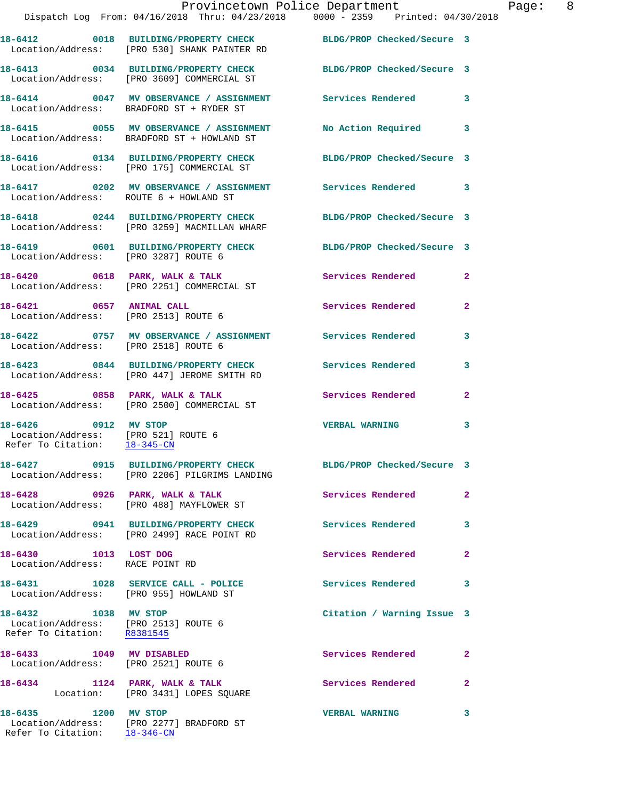|                                                                                             | Provincetown Police Department<br>Dispatch Log From: 04/16/2018 Thru: 04/23/2018 0000 - 2359 Printed: 04/30/2018 |                            | Page: 8      |
|---------------------------------------------------------------------------------------------|------------------------------------------------------------------------------------------------------------------|----------------------------|--------------|
|                                                                                             | 18-6412 0018 BUILDING/PROPERTY CHECK BLDG/PROP Checked/Secure 3<br>Location/Address: [PRO 530] SHANK PAINTER RD  |                            |              |
|                                                                                             | 18-6413 0034 BUILDING/PROPERTY CHECK BLDG/PROP Checked/Secure 3<br>Location/Address: [PRO 3609] COMMERCIAL ST    |                            |              |
|                                                                                             | 18-6414 0047 MV OBSERVANCE / ASSIGNMENT Services Rendered 3<br>Location/Address: BRADFORD ST + RYDER ST          |                            |              |
|                                                                                             | 18-6415 0055 MV OBSERVANCE / ASSIGNMENT No Action Required 3<br>Location/Address: BRADFORD ST + HOWLAND ST       |                            |              |
|                                                                                             | 18-6416  0134 BUILDING/PROPERTY CHECK BLDG/PROP Checked/Secure 3<br>Location/Address: [PRO 175] COMMERCIAL ST    |                            |              |
| Location/Address: ROUTE 6 + HOWLAND ST                                                      | 18-6417 0202 MV OBSERVANCE / ASSIGNMENT Services Rendered 3                                                      |                            |              |
|                                                                                             | 18-6418 0244 BUILDING/PROPERTY CHECK BLDG/PROP Checked/Secure 3<br>Location/Address: [PRO 3259] MACMILLAN WHARF  |                            |              |
| Location/Address: [PRO 3287] ROUTE 6                                                        | 18-6419 0601 BUILDING/PROPERTY CHECK BLDG/PROP Checked/Secure 3                                                  |                            |              |
|                                                                                             | 18-6420 0618 PARK, WALK & TALK Services Rendered 2<br>Location/Address: [PRO 2251] COMMERCIAL ST                 |                            |              |
| Location/Address: [PRO 2513] ROUTE 6                                                        | 18-6421 0657 ANIMAL CALL                                                                                         | Services Rendered          | $\mathbf{2}$ |
| Location/Address: [PRO 2518] ROUTE 6                                                        | 18-6422 0757 MV OBSERVANCE / ASSIGNMENT Services Rendered 3                                                      |                            |              |
|                                                                                             | 18-6423 0844 BUILDING/PROPERTY CHECK Services Rendered<br>Location/Address: [PRO 447] JEROME SMITH RD            |                            | 3            |
|                                                                                             | 18-6425 0858 PARK, WALK & TALK 1988 Services Rendered 2<br>Location/Address: [PRO 2500] COMMERCIAL ST            |                            |              |
| 18-6426 0912 MV STOP<br>Location/Address: [PRO 521] ROUTE 6<br>Refer To Citation: 18-345-CN |                                                                                                                  | <b>VERBAL WARNING</b>      | 3            |
|                                                                                             | 18-6427 0915 BUILDING/PROPERTY CHECK BLDG/PROP Checked/Secure 3<br>Location/Address: [PRO 2206] PILGRIMS LANDING |                            |              |
|                                                                                             | 18-6428 0926 PARK, WALK & TALK<br>Location/Address: [PRO 488] MAYFLOWER ST                                       | Services Rendered 2        |              |
|                                                                                             | 18-6429 0941 BUILDING/PROPERTY CHECK<br>Location/Address: [PRO 2499] RACE POINT RD                               | Services Rendered 3        |              |
| 18-6430 1013 LOST DOG<br>Location/Address: RACE POINT RD                                    |                                                                                                                  | Services Rendered          | $\mathbf{2}$ |
| Location/Address: [PRO 955] HOWLAND ST                                                      | 18-6431 1028 SERVICE CALL - POLICE                                                                               | Services Rendered 3        |              |
| 18-6432 1038 MV STOP<br>Location/Address: [PRO 2513] ROUTE 6<br>Refer To Citation: R8381545 |                                                                                                                  | Citation / Warning Issue 3 |              |
| 18-6433 1049 MV DISABLED                                                                    | Location/Address: [PRO 2521] ROUTE 6                                                                             | Services Rendered          | $\mathbf{2}$ |
|                                                                                             | 18-6434 1124 PARK, WALK & TALK<br>Location: [PRO 3431] LOPES SQUARE                                              | Services Rendered          | $\mathbf{2}$ |
| 18-6435 1200 MV STOP<br>Refer To Citation: 18-346-CN                                        | Location/Address: [PRO 2277] BRADFORD ST                                                                         | <b>VERBAL WARNING</b>      | 3            |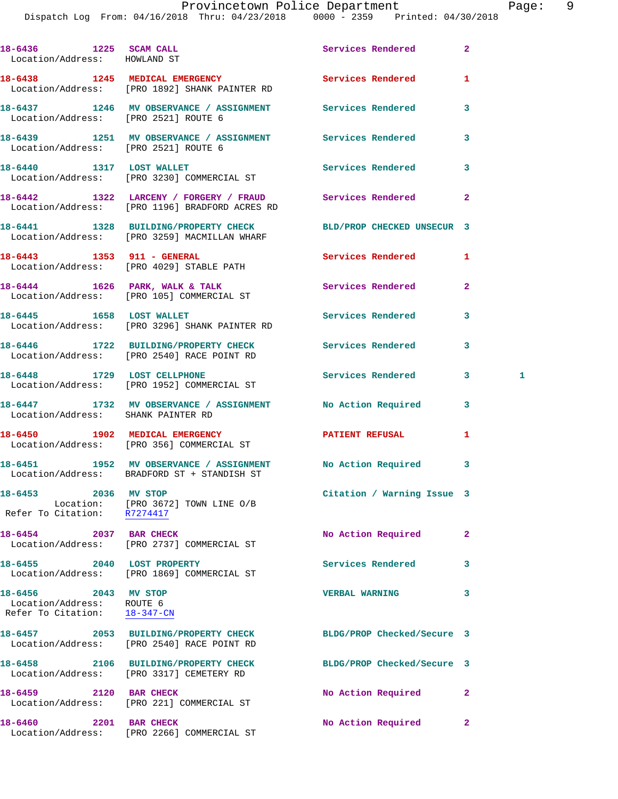## Provincetown Police Department The Page: 9

| Location/Address: HOWLAND ST                                                      | 18-6436 1225 SCAM CALL 2008 2012 Services Rendered                                                              |                            | $\overline{2}$ |   |
|-----------------------------------------------------------------------------------|-----------------------------------------------------------------------------------------------------------------|----------------------------|----------------|---|
|                                                                                   | 18-6438 1245 MEDICAL EMERGENCY Services Rendered<br>Location/Address: [PRO 1892] SHANK PAINTER RD               |                            | 1              |   |
| Location/Address: [PRO 2521] ROUTE 6                                              | 18-6437 1246 MV OBSERVANCE / ASSIGNMENT Services Rendered                                                       |                            | 3              |   |
| Location/Address: [PRO 2521] ROUTE 6                                              | 18-6439 1251 MV OBSERVANCE / ASSIGNMENT Services Rendered                                                       |                            | 3              |   |
|                                                                                   | 18-6440 1317 LOST WALLET<br>Location/Address: [PRO 3230] COMMERCIAL ST                                          | Services Rendered          | 3              |   |
|                                                                                   | 18-6442 1322 LARCENY / FORGERY / FRAUD Services Rendered<br>Location/Address: [PRO 1196] BRADFORD ACRES RD      |                            | $\mathbf{2}$   |   |
|                                                                                   | 18-6441 1328 BUILDING/PROPERTY CHECK BLD/PROP CHECKED UNSECUR 3<br>Location/Address: [PRO 3259] MACMILLAN WHARF |                            |                |   |
|                                                                                   | 18-6443 1353 911 - GENERAL<br>Location/Address: [PRO 4029] STABLE PATH                                          | Services Rendered          | 1              |   |
|                                                                                   | 18-6444 1626 PARK, WALK & TALK 1999 Services Rendered<br>Location/Address: [PRO 105] COMMERCIAL ST              |                            | $\mathbf{2}$   |   |
|                                                                                   | 18-6445 1658 LOST WALLET<br>Location/Address: [PRO 3296] SHANK PAINTER RD                                       | Services Rendered          | 3              |   |
|                                                                                   | 18-6446 1722 BUILDING/PROPERTY CHECK Services Rendered<br>Location/Address: [PRO 2540] RACE POINT RD            |                            | 3              |   |
| 18-6448 1729 LOST CELLPHONE                                                       | Location/Address: [PRO 1952] COMMERCIAL ST                                                                      | Services Rendered          | $3^{\circ}$    | 1 |
| Location/Address: SHANK PAINTER RD                                                | 18-6447 1732 MV OBSERVANCE / ASSIGNMENT No Action Required                                                      |                            | 3              |   |
|                                                                                   | 18-6450 1902 MEDICAL EMERGENCY<br>Location/Address: [PRO 356] COMMERCIAL ST                                     | PATIENT REFUSAL            | 1              |   |
|                                                                                   | 18-6451 1952 MV OBSERVANCE / ASSIGNMENT No Action Required<br>Location/Address: BRADFORD ST + STANDISH ST       |                            | 3              |   |
| 18-6453 2036 MV STOP<br>Refer To Citation: R7274417                               | Location: [PRO 3672] TOWN LINE O/B                                                                              | Citation / Warning Issue 3 |                |   |
| 18-6454 2037 BAR CHECK                                                            | Location/Address: [PRO 2737] COMMERCIAL ST                                                                      | No Action Required         | $\mathbf{2}$   |   |
| 18-6455 2040 LOST PROPERTY                                                        | Location/Address: [PRO 1869] COMMERCIAL ST                                                                      | Services Rendered          | 3              |   |
| 18-6456 2043 MV STOP<br>Location/Address: ROUTE 6<br>Refer To Citation: 18-347-CN |                                                                                                                 | <b>VERBAL WARNING</b>      | 3              |   |
|                                                                                   | 18-6457 2053 BUILDING/PROPERTY CHECK<br>Location/Address: [PRO 2540] RACE POINT RD                              | BLDG/PROP Checked/Secure 3 |                |   |
|                                                                                   | 18-6458 2106 BUILDING/PROPERTY CHECK<br>Location/Address: [PRO 3317] CEMETERY RD                                | BLDG/PROP Checked/Secure 3 |                |   |
| 18-6459 2120 BAR CHECK                                                            | Location/Address: [PRO 221] COMMERCIAL ST                                                                       | No Action Required         | $\mathbf{2}$   |   |
| 2201 BAR CHECK<br>18-6460                                                         |                                                                                                                 | No Action Required         | $\overline{2}$ |   |

Location/Address: [PRO 2266] COMMERCIAL ST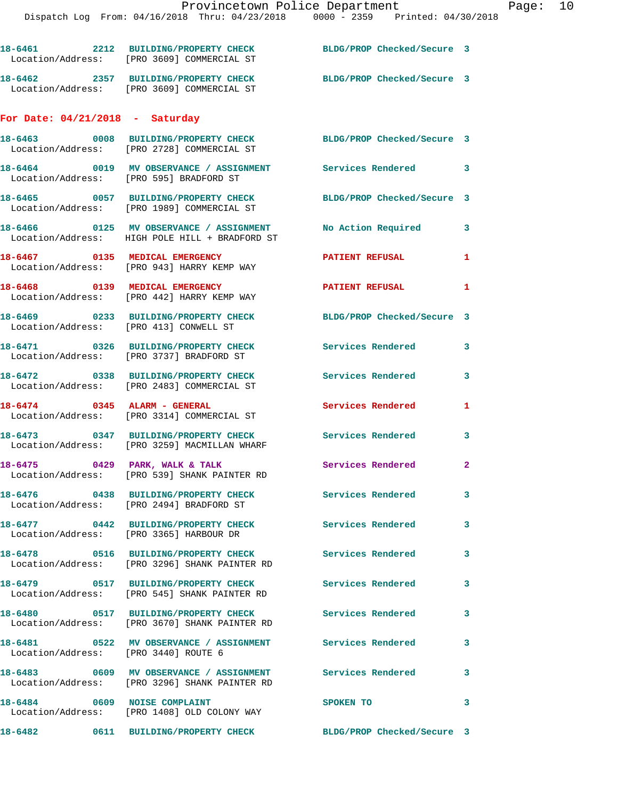|                                   | 18-6461 2212 BUILDING/PROPERTY CHECK<br>Location/Address: [PRO 3609] COMMERCIAL ST                     | BLDG/PROP Checked/Secure 3 |              |
|-----------------------------------|--------------------------------------------------------------------------------------------------------|----------------------------|--------------|
|                                   | 18-6462 2357 BUILDING/PROPERTY CHECK<br>Location/Address: [PRO 3609] COMMERCIAL ST                     | BLDG/PROP Checked/Secure 3 |              |
| For Date: $04/21/2018$ - Saturday |                                                                                                        |                            |              |
|                                   | 18-6463 0008 BUILDING/PROPERTY CHECK<br>Location/Address: [PRO 2728] COMMERCIAL ST                     | BLDG/PROP Checked/Secure 3 |              |
|                                   | 18-6464 0019 MV OBSERVANCE / ASSIGNMENT Services Rendered 3<br>Location/Address: [PRO 595] BRADFORD ST |                            |              |
|                                   | 18-6465 0057 BUILDING/PROPERTY CHECK<br>Location/Address: [PRO 1989] COMMERCIAL ST                     | BLDG/PROP Checked/Secure 3 |              |
|                                   | 18-6466 0125 MV OBSERVANCE / ASSIGNMENT<br>Location/Address: HIGH POLE HILL + BRADFORD ST              | No Action Required         | 3            |
|                                   | 18-6467 0135 MEDICAL EMERGENCY<br>Location/Address: [PRO 943] HARRY KEMP WAY                           | <b>PATIENT REFUSAL</b>     | 1            |
|                                   | 18-6468 0139 MEDICAL EMERGENCY<br>Location/Address: [PRO 442] HARRY KEMP WAY                           | <b>PATIENT REFUSAL</b>     | 1            |
|                                   | 18-6469 0233 BUILDING/PROPERTY CHECK<br>Location/Address: [PRO 413] CONWELL ST                         | BLDG/PROP Checked/Secure 3 |              |
|                                   | 18-6471 0326 BUILDING/PROPERTY CHECK<br>Location/Address: [PRO 3737] BRADFORD ST                       | Services Rendered          | 3            |
|                                   | 18-6472 0338 BUILDING/PROPERTY CHECK<br>Location/Address: [PRO 2483] COMMERCIAL ST                     | Services Rendered          | 3            |
|                                   |                                                                                                        |                            |              |
|                                   | 18-6474 0345 ALARM - GENERAL<br>Location/Address: [PRO 3314] COMMERCIAL ST                             | Services Rendered          | 1            |
|                                   | 18-6473 0347 BUILDING/PROPERTY CHECK<br>Location/Address: [PRO 3259] MACMILLAN WHARF                   | Services Rendered 3        |              |
|                                   | 18-6475 0429 PARK, WALK & TALK<br>Location/Address: [PRO 539] SHANK PAINTER RD                         | Services Rendered 2        |              |
|                                   | 18-6476 0438 BUILDING/PROPERTY CHECK<br>Location/Address: [PRO 2494] BRADFORD ST                       | <b>Services Rendered</b>   |              |
|                                   | 18-6477 0442 BUILDING/PROPERTY CHECK<br>Location/Address: [PRO 3365] HARBOUR DR                        | <b>Services Rendered</b>   | $\mathbf{3}$ |
|                                   | 18-6478 0516 BUILDING/PROPERTY CHECK<br>Location/Address: [PRO 3296] SHANK PAINTER RD                  | <b>Services Rendered</b>   | 3            |
|                                   | 18-6479 0517 BUILDING/PROPERTY CHECK<br>Location/Address: [PRO 545] SHANK PAINTER RD                   | Services Rendered          | 3            |
|                                   | 18-6480 0517 BUILDING/PROPERTY CHECK<br>Location/Address: [PRO 3670] SHANK PAINTER RD                  | <b>Services Rendered</b>   | 3            |
|                                   | 18-6481 6522 MV OBSERVANCE / ASSIGNMENT Services Rendered<br>Location/Address: [PRO 3440] ROUTE 6      |                            | 3            |
|                                   | Location/Address: [PRO 3296] SHANK PAINTER RD                                                          |                            | $\mathbf{3}$ |
|                                   | 18-6484 0609 NOISE COMPLAINT<br>Location/Address: [PRO 1408] OLD COLONY WAY                            | SPOKEN TO                  | 3            |
|                                   | 18-6482       0611  BUILDING/PROPERTY CHECK        BLDG/PROP Checked/Secure 3                          |                            |              |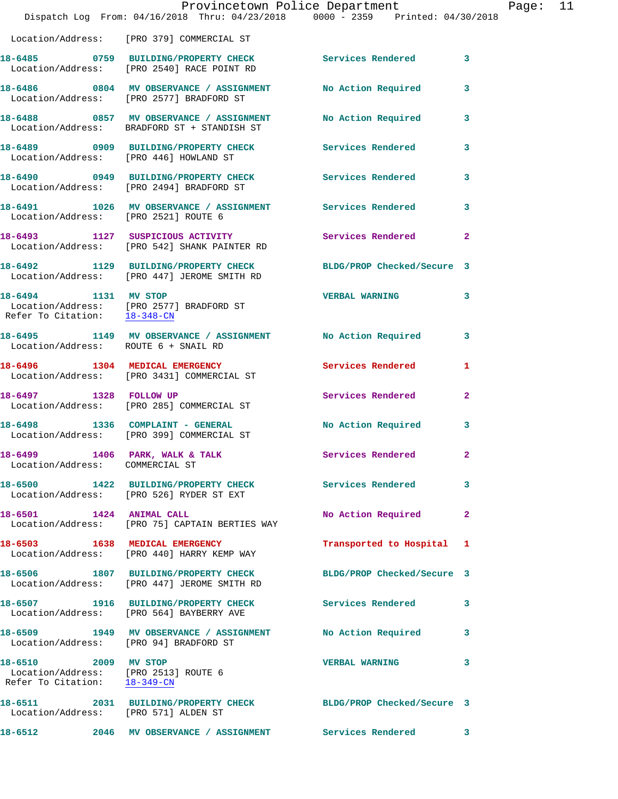|                                                                                              | Provincetown Police Department<br>Dispatch Log From: 04/16/2018 Thru: 04/23/2018 0000 - 2359 Printed: 04/30/2018 |                            |              | Page: 11 |  |
|----------------------------------------------------------------------------------------------|------------------------------------------------------------------------------------------------------------------|----------------------------|--------------|----------|--|
|                                                                                              | Location/Address: [PRO 379] COMMERCIAL ST                                                                        |                            |              |          |  |
|                                                                                              | 18-6485  0759  BUILDING/PROPERTY CHECK  Services Rendered  3<br>Location/Address: [PRO 2540] RACE POINT RD       |                            |              |          |  |
|                                                                                              | 18-6486 0804 MV OBSERVANCE / ASSIGNMENT No Action Required 3<br>Location/Address: [PRO 2577] BRADFORD ST         |                            |              |          |  |
|                                                                                              | 18-6488 0857 MV OBSERVANCE / ASSIGNMENT No Action Required 3<br>Location/Address: BRADFORD ST + STANDISH ST      |                            |              |          |  |
|                                                                                              | 18-6489 0909 BUILDING/PROPERTY CHECK Services Rendered<br>Location/Address: [PRO 446] HOWLAND ST                 |                            | 3            |          |  |
|                                                                                              | 18-6490 0949 BUILDING/PROPERTY CHECK Services Rendered 3<br>Location/Address: [PRO 2494] BRADFORD ST             |                            |              |          |  |
| Location/Address: [PRO 2521] ROUTE 6                                                         | 18-6491 1026 MV OBSERVANCE / ASSIGNMENT Services Rendered                                                        |                            | 3            |          |  |
|                                                                                              | 18-6493 1127 SUSPICIOUS ACTIVITY 1991 Services Rendered 2<br>Location/Address: [PRO 542] SHANK PAINTER RD        |                            |              |          |  |
|                                                                                              | 18-6492 1129 BUILDING/PROPERTY CHECK BLDG/PROP Checked/Secure 3<br>Location/Address: [PRO 447] JEROME SMITH RD   |                            |              |          |  |
| 18-6494 1131 MV STOP                                                                         | Location/Address: [PRO 2577] BRADFORD ST<br>Refer To Citation: <u>18-348-CN</u>                                  | VERBAL WARNING 3           |              |          |  |
| Location/Address: ROUTE 6 + SNAIL RD                                                         | 18-6495 1149 MV OBSERVANCE / ASSIGNMENT No Action Required 3                                                     |                            |              |          |  |
|                                                                                              | 18-6496 1304 MEDICAL EMERGENCY<br>Location/Address: [PRO 3431] COMMERCIAL ST                                     | Services Rendered          | 1            |          |  |
|                                                                                              | 18-6497 1328 FOLLOW UP<br>Location/Address: [PRO 285] COMMERCIAL ST                                              | Services Rendered 2        |              |          |  |
|                                                                                              | 18-6498 1336 COMPLAINT - GENERAL<br>Location/Address: [PRO 399] COMMERCIAL ST                                    | No Action Required         | 3            |          |  |
| 18-6499 1406 PARK, WALK & TALK<br>Location/Address: COMMERCIAL ST                            |                                                                                                                  | Services Rendered          | $\mathbf{2}$ |          |  |
|                                                                                              | 18-6500 1422 BUILDING/PROPERTY CHECK Services Rendered 3<br>Location/Address: [PRO 526] RYDER ST EXT             |                            |              |          |  |
| 18-6501 1424 ANIMAL CALL                                                                     | Location/Address: [PRO 75] CAPTAIN BERTIES WAY                                                                   | No Action Required         | $\mathbf{2}$ |          |  |
|                                                                                              | 18-6503 1638 MEDICAL EMERGENCY<br>Location/Address: [PRO 440] HARRY KEMP WAY                                     | Transported to Hospital 1  |              |          |  |
|                                                                                              |                                                                                                                  | BLDG/PROP Checked/Secure 3 |              |          |  |
|                                                                                              | 18-6507 1916 BUILDING/PROPERTY CHECK Services Rendered<br>Location/Address: [PRO 564] BAYBERRY AVE               |                            | 3            |          |  |
| Location/Address: [PRO 94] BRADFORD ST                                                       | 18-6509 1949 MV OBSERVANCE / ASSIGNMENT No Action Required 3                                                     |                            |              |          |  |
| 18-6510 2009 MV STOP<br>Location/Address: [PRO 2513] ROUTE 6<br>Refer To Citation: 18-349-CN |                                                                                                                  | <b>VERBAL WARNING</b>      | 3            |          |  |
| Location/Address: [PRO 571] ALDEN ST                                                         | 18-6511 2031 BUILDING/PROPERTY CHECK BLDG/PROP Checked/Secure 3                                                  |                            |              |          |  |
| 18-6512                                                                                      | 2046 MV OBSERVANCE / ASSIGNMENT Services Rendered                                                                |                            | 3            |          |  |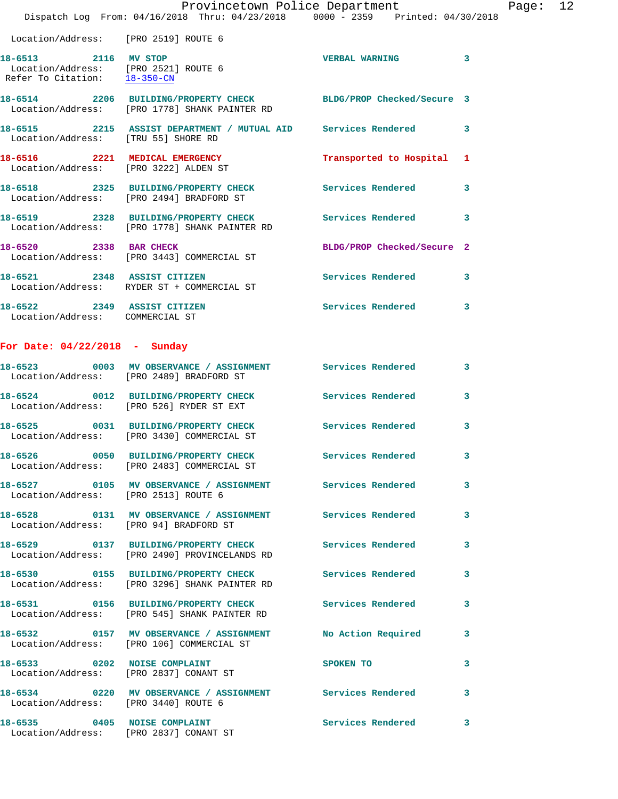|                                                                                              | Provincetown Police Department<br>Dispatch Log From: 04/16/2018 Thru: 04/23/2018 0000 - 2359 Printed: 04/30/2018 |                            |   |
|----------------------------------------------------------------------------------------------|------------------------------------------------------------------------------------------------------------------|----------------------------|---|
| Location/Address: [PRO 2519] ROUTE 6                                                         |                                                                                                                  |                            |   |
| 18-6513 2116 MV STOP<br>Location/Address: [PRO 2521] ROUTE 6<br>Refer To Citation: 18-350-CN |                                                                                                                  | <b>VERBAL WARNING</b>      | 3 |
|                                                                                              | 18-6514 2206 BUILDING/PROPERTY CHECK BLDG/PROP Checked/Secure 3<br>Location/Address: [PRO 1778] SHANK PAINTER RD |                            |   |
|                                                                                              | 18-6515 2215 ASSIST DEPARTMENT / MUTUAL AID Services Rendered<br>Location/Address: [TRU 55] SHORE RD             |                            | 3 |
|                                                                                              | 18-6516 2221 MEDICAL EMERGENCY<br>Location/Address: [PRO 3222] ALDEN ST                                          | Transported to Hospital    | 1 |
|                                                                                              | 18-6518 2325 BUILDING/PROPERTY CHECK<br>Location/Address: [PRO 2494] BRADFORD ST                                 | Services Rendered          | 3 |
|                                                                                              | 18-6519 2328 BUILDING/PROPERTY CHECK Services Rendered<br>Location/Address: [PRO 1778] SHANK PAINTER RD          |                            | 3 |
| 18-6520 2338 BAR CHECK                                                                       | Location/Address: [PRO 3443] COMMERCIAL ST                                                                       | BLDG/PROP Checked/Secure 2 |   |
|                                                                                              | 18-6521 2348 ASSIST CITIZEN<br>Location/Address: RYDER ST + COMMERCIAL ST                                        | <b>Services Rendered</b>   | 3 |
| 18-6522 2349 ASSIST CITIZEN<br>Location/Address: COMMERCIAL ST                               |                                                                                                                  | Services Rendered          | 3 |
| For Date: $04/22/2018$ - Sunday                                                              |                                                                                                                  |                            |   |
|                                                                                              | 18-6523 0003 MV OBSERVANCE / ASSIGNMENT Services Rendered<br>Location/Address: [PRO 2489] BRADFORD ST            |                            | 3 |
|                                                                                              | 18-6524 0012 BUILDING/PROPERTY CHECK<br>Location/Address: [PRO 526] RYDER ST EXT                                 | <b>Services Rendered</b>   | 3 |
|                                                                                              | 18-6525 0031 BUILDING/PROPERTY CHECK<br>Location/Address: [PRO 3430] COMMERCIAL ST                               | Services Rendered          | 3 |
|                                                                                              | 18-6526 0050 BUILDING/PROPERTY CHECK Services Rendered<br>Location/Address: [PRO 2483] COMMERCIAL ST             |                            | 3 |
| Location/Address: [PRO 2513] ROUTE 6                                                         | 18-6527  0105 MV OBSERVANCE / ASSIGNMENT Services Rendered                                                       |                            | 3 |
| Location/Address: [PRO 94] BRADFORD ST                                                       | 18-6528 0131 MV OBSERVANCE / ASSIGNMENT Services Rendered                                                        |                            | 3 |
|                                                                                              | 18-6529 0137 BUILDING/PROPERTY CHECK Services Rendered<br>Location/Address: [PRO 2490] PROVINCELANDS RD          |                            | 3 |
|                                                                                              | 18-6530 0155 BUILDING/PROPERTY CHECK Services Rendered<br>Location/Address: [PRO 3296] SHANK PAINTER RD          |                            | 3 |
|                                                                                              | 18-6531 0156 BUILDING/PROPERTY CHECK Services Rendered<br>Location/Address: [PRO 545] SHANK PAINTER RD           |                            | 3 |
|                                                                                              | 18-6532 0157 MV OBSERVANCE / ASSIGNMENT<br>Location/Address: [PRO 106] COMMERCIAL ST                             | No Action Required         | 3 |
|                                                                                              | 18-6533 0202 NOISE COMPLAINT<br>Location/Address: [PRO 2837] CONANT ST                                           | <b>SPOKEN TO</b>           | 3 |
| Location/Address: [PRO 3440] ROUTE 6                                                         | 18-6534 0220 MV OBSERVANCE / ASSIGNMENT Services Rendered                                                        |                            | 3 |
| 18-6535 0405 NOISE COMPLAINT                                                                 |                                                                                                                  | <b>Services Rendered</b>   | 3 |

Location/Address: [PRO 2837] CONANT ST

Page: 12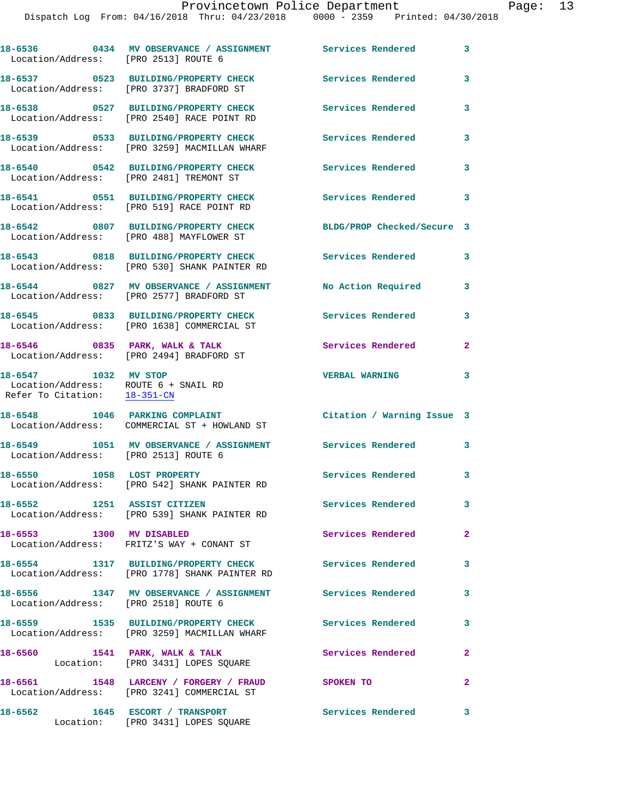| Location/Address: [PRO 2513] ROUTE 6                                                                      | 18-6536       0434   MV OBSERVANCE / ASSIGNMENT      Services Rendered                                  |                            | 3              |
|-----------------------------------------------------------------------------------------------------------|---------------------------------------------------------------------------------------------------------|----------------------------|----------------|
|                                                                                                           | 18-6537 0523 BUILDING/PROPERTY CHECK<br>Location/Address: [PRO 3737] BRADFORD ST                        | <b>Services Rendered</b>   | 3              |
|                                                                                                           | 18-6538 0527 BUILDING/PROPERTY CHECK<br>Location/Address: [PRO 2540] RACE POINT RD                      | <b>Services Rendered</b>   | 3              |
|                                                                                                           | 18-6539 0533 BUILDING/PROPERTY CHECK<br>Location/Address: [PRO 3259] MACMILLAN WHARF                    | Services Rendered          | 3              |
|                                                                                                           | 18-6540 0542 BUILDING/PROPERTY CHECK<br>Location/Address: [PRO 2481] TREMONT ST                         | Services Rendered          | 3              |
|                                                                                                           | 18-6541 0551 BUILDING/PROPERTY CHECK<br>Location/Address: [PRO 519] RACE POINT RD                       | <b>Services Rendered</b>   | 3              |
|                                                                                                           | 18-6542 0807 BUILDING/PROPERTY CHECK<br>Location/Address: [PRO 488] MAYFLOWER ST                        | BLDG/PROP Checked/Secure 3 |                |
|                                                                                                           | 18-6543 0818 BUILDING/PROPERTY CHECK<br>Location/Address: [PRO 530] SHANK PAINTER RD                    | <b>Services Rendered</b>   | 3              |
|                                                                                                           | 18-6544 0827 MV OBSERVANCE / ASSIGNMENT<br>Location/Address: [PRO 2577] BRADFORD ST                     | No Action Required         | 3              |
|                                                                                                           | 18-6545 0833 BUILDING/PROPERTY CHECK<br>Location/Address: [PRO 1638] COMMERCIAL ST                      | Services Rendered          | 3              |
|                                                                                                           | 18-6546 0835 PARK, WALK & TALK<br>Location/Address: [PRO 2494] BRADFORD ST                              | Services Rendered          | $\mathbf{2}$   |
| 18-6547 1032 MV STOP<br>Location/Address: ROUTE 6 + SNAIL RD<br>Refer To Citation: $\frac{18-351-CN}{28}$ |                                                                                                         | <b>VERBAL WARNING</b>      | 3              |
|                                                                                                           | 18-6548 1046 PARKING COMPLAINT<br>Location/Address: COMMERCIAL ST + HOWLAND ST                          | Citation / Warning Issue 3 |                |
| Location/Address: [PRO 2513] ROUTE 6                                                                      | 18-6549 1051 MV OBSERVANCE / ASSIGNMENT Services Rendered                                               |                            | 3              |
| 18-6550 1058 LOST PROPERTY                                                                                | Location/Address: [PRO 542] SHANK PAINTER RD                                                            | Services Rendered 3        |                |
| 18-6552 1251 ASSIST CITIZEN                                                                               | Location/Address: [PRO 539] SHANK PAINTER RD                                                            | Services Rendered          | 3              |
| 18-6553 1300 MV DISABLED                                                                                  | Location/Address: FRITZ'S WAY + CONANT ST                                                               | Services Rendered          | $\overline{2}$ |
|                                                                                                           | 18-6554 1317 BUILDING/PROPERTY CHECK Services Rendered<br>Location/Address: [PRO 1778] SHANK PAINTER RD |                            | 3              |
| Location/Address: [PRO 2518] ROUTE 6                                                                      | 18-6556 1347 MV OBSERVANCE / ASSIGNMENT Services Rendered                                               |                            | 3              |
|                                                                                                           | 18-6559 1535 BUILDING/PROPERTY CHECK<br>Location/Address: [PRO 3259] MACMILLAN WHARF                    | Services Rendered          | 3              |
| 18-6560                                                                                                   | 1541 PARK, WALK & TALK<br>Location: [PRO 3431] LOPES SQUARE                                             | Services Rendered          | $\mathbf{2}$   |
|                                                                                                           | 18-6561 1548 LARCENY / FORGERY / FRAUD SPOKEN TO<br>Location/Address: [PRO 3241] COMMERCIAL ST          |                            | $\mathbf{2}$   |
| 18-6562                                                                                                   | 1645 ESCORT / TRANSPORT                                                                                 | Services Rendered 3        |                |

Location: [PRO 3431] LOPES SQUARE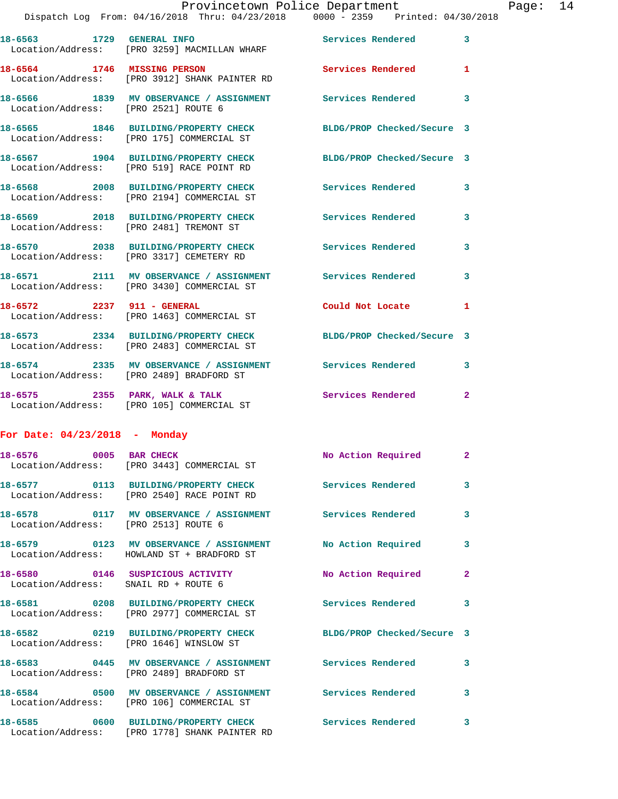|                                                                                                                                                                                                                                                                        |  |  | Provincetown Police Department |  |  | Page: $14$ |  |
|------------------------------------------------------------------------------------------------------------------------------------------------------------------------------------------------------------------------------------------------------------------------|--|--|--------------------------------|--|--|------------|--|
| $D_{1}^{1}$ and the $D_{2}^{1}$ $D_{3}^{1}$ $D_{4}^{1}$ $D_{5}^{1}$ $D_{5}^{1}$ $D_{6}^{1}$ $D_{7}^{1}$ $D_{8}^{1}$ $D_{10}^{1}$ $D_{11}^{1}$ $D_{10}^{1}$ $D_{11}^{1}$ $D_{10}^{1}$ $D_{11}^{1}$ $D_{10}^{1}$ $D_{11}^{1}$ $D_{11}^{1}$ $D_{11}^{1}$ $D_{11}^{1}$ $D$ |  |  |                                |  |  |            |  |

|                                      | Dispatch Log From: 04/16/2018 Thru: 04/23/2018 0000 - 2359 Printed: 04/30/2018                                |                            |              |
|--------------------------------------|---------------------------------------------------------------------------------------------------------------|----------------------------|--------------|
|                                      | 18-6563 1729 GENERAL INFO<br>Location/Address: [PRO 3259] MACMILLAN WHARF                                     | <b>Services Rendered</b>   | 3            |
|                                      | 18-6564 1746 MISSING PERSON<br>Location/Address: [PRO 3912] SHANK PAINTER RD                                  | <b>Services Rendered</b>   | 1            |
| Location/Address: [PRO 2521] ROUTE 6 | 18-6566 1839 MV OBSERVANCE / ASSIGNMENT Services Rendered                                                     |                            | 3            |
|                                      | 18-6565 1846 BUILDING/PROPERTY CHECK BLDG/PROP Checked/Secure 3<br>Location/Address: [PRO 175] COMMERCIAL ST  |                            |              |
|                                      | 18-6567 1904 BUILDING/PROPERTY CHECK<br>Location/Address: [PRO 519] RACE POINT RD                             | BLDG/PROP Checked/Secure 3 |              |
|                                      | 18-6568 2008 BUILDING/PROPERTY CHECK<br>Location/Address: [PRO 2194] COMMERCIAL ST                            | <b>Services Rendered</b>   | 3            |
|                                      | 18-6569 2018 BUILDING/PROPERTY CHECK<br>Location/Address: [PRO 2481] TREMONT ST                               | <b>Services Rendered</b>   | 3            |
|                                      | 18-6570 2038 BUILDING/PROPERTY CHECK<br>Location/Address: [PRO 3317] CEMETERY RD                              | <b>Services Rendered</b>   | 3            |
|                                      | 18-6571 2111 MV OBSERVANCE / ASSIGNMENT Services Rendered<br>Location/Address: [PRO 3430] COMMERCIAL ST       |                            | 3            |
| 18-6572 2237 911 - GENERAL           | Location/Address: [PRO 1463] COMMERCIAL ST                                                                    | Could Not Locate           | 1            |
|                                      | 18-6573 2334 BUILDING/PROPERTY CHECK BLDG/PROP Checked/Secure 3<br>Location/Address: [PRO 2483] COMMERCIAL ST |                            |              |
|                                      | 18-6574 2335 MV OBSERVANCE / ASSIGNMENT Services Rendered<br>Location/Address: [PRO 2489] BRADFORD ST         |                            | 3            |
|                                      | 18-6575 2355 PARK, WALK & TALK<br>Location/Address: [PRO 105] COMMERCIAL ST                                   | <b>Services Rendered</b>   | $\mathbf{2}$ |

## **For Date: 04/23/2018 - Monday**

| 18-6576 0005 BAR CHECK               | Location/Address: [PRO 3443] COMMERCIAL ST                                                              | No Action Required         | $\overline{2}$          |
|--------------------------------------|---------------------------------------------------------------------------------------------------------|----------------------------|-------------------------|
|                                      | 18-6577 0113 BUILDING/PROPERTY CHECK Services Rendered<br>Location/Address: [PRO 2540] RACE POINT RD    |                            | $\overline{\mathbf{3}}$ |
| Location/Address: [PRO 2513] ROUTE 6 | 18-6578       0117   MV OBSERVANCE / ASSIGNMENT      Services Rendered                                  |                            | $\mathbf{3}$            |
|                                      | Location/Address: HOWLAND ST + BRADFORD ST                                                              |                            | $\mathbf{3}$            |
| Location/Address: SNAIL RD + ROUTE 6 | 18-6580 0146 SUSPICIOUS ACTIVITY                                                                        | No Action Required         | $\overline{2}$          |
|                                      | 18-6581 0208 BUILDING/PROPERTY CHECK Services Rendered<br>Location/Address: [PRO 2977] COMMERCIAL ST    |                            | $\overline{\mathbf{3}}$ |
|                                      | 18-6582 0219 BUILDING/PROPERTY CHECK<br>Location/Address: [PRO 1646] WINSLOW ST                         | BLDG/PROP Checked/Secure 3 |                         |
|                                      | 18-6583 0445 MV OBSERVANCE / ASSIGNMENT Services Rendered<br>Location/Address: [PRO 2489] BRADFORD ST   |                            | $\mathbf{3}$            |
|                                      | 18-6584 0500 MV OBSERVANCE / ASSIGNMENT Services Rendered<br>Location/Address: [PRO 106] COMMERCIAL ST  |                            | $\overline{\mathbf{3}}$ |
|                                      | 18-6585 0600 BUILDING/PROPERTY CHECK Services Rendered<br>Location/Address: [PRO 1778] SHANK PAINTER RD |                            | $\mathbf{3}$            |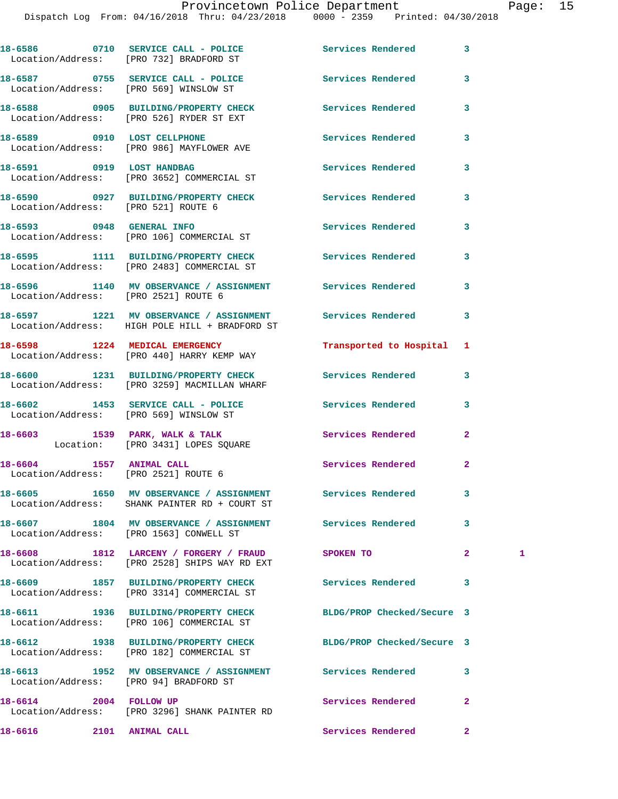Dispatch Log From: 04/16/2018 Thru: 04/23/2018 0000 - 2359 Printed: 04/30/2018

|                                        | 18-6586 0710 SERVICE CALL - POLICE<br>Location/Address: [PRO 732] BRADFORD ST                               | Services Rendered          | 3              |   |
|----------------------------------------|-------------------------------------------------------------------------------------------------------------|----------------------------|----------------|---|
|                                        | 18-6587 0755 SERVICE CALL - POLICE<br>Location/Address: [PRO 569] WINSLOW ST                                | Services Rendered          | 3              |   |
|                                        | 18-6588 0905 BUILDING/PROPERTY CHECK<br>Location/Address: [PRO 526] RYDER ST EXT                            | Services Rendered          | 3              |   |
|                                        | 18-6589 0910 LOST CELLPHONE<br>Location/Address: [PRO 986] MAYFLOWER AVE                                    | Services Rendered          | 3              |   |
|                                        | 18-6591 0919 LOST HANDBAG<br>Location/Address: [PRO 3652] COMMERCIAL ST                                     | <b>Services Rendered</b>   | 3              |   |
| Location/Address: [PRO 521] ROUTE 6    | 18-6590 0927 BUILDING/PROPERTY CHECK Services Rendered                                                      |                            | 3              |   |
|                                        | 18-6593 0948 GENERAL INFO<br>Location/Address: [PRO 106] COMMERCIAL ST                                      | <b>Services Rendered</b>   | 3              |   |
|                                        | 18-6595 1111 BUILDING/PROPERTY CHECK<br>Location/Address: [PRO 2483] COMMERCIAL ST                          | Services Rendered          | 3              |   |
| Location/Address: [PRO 2521] ROUTE 6   | 18-6596 1140 MV OBSERVANCE / ASSIGNMENT Services Rendered                                                   |                            | 3              |   |
|                                        | 18-6597 1221 MV OBSERVANCE / ASSIGNMENT Services Rendered<br>Location/Address: HIGH POLE HILL + BRADFORD ST |                            | 3              |   |
|                                        | 18-6598 1224 MEDICAL EMERGENCY<br>Location/Address: [PRO 440] HARRY KEMP WAY                                | Transported to Hospital 1  |                |   |
|                                        | 18-6600 1231 BUILDING/PROPERTY CHECK<br>Location/Address: [PRO 3259] MACMILLAN WHARF                        | Services Rendered          | 3              |   |
|                                        | 18-6602 1453 SERVICE CALL - POLICE<br>Location/Address: [PRO 569] WINSLOW ST                                | Services Rendered          | 3              |   |
|                                        | 18-6603 1539 PARK, WALK & TALK<br>Location: [PRO 3431] LOPES SQUARE                                         | <b>Services Rendered</b>   | $\overline{a}$ |   |
| 18-6604 1557 ANIMAL CALL               | Location/Address: [PRO 2521] ROUTE 6                                                                        | Services Rendered          | $\mathbf{2}$   |   |
|                                        | 18-6605 1650 MV OBSERVANCE / ASSIGNMENT Services Rendered<br>Location/Address: SHANK PAINTER RD + COURT ST  |                            | 3              |   |
|                                        | 18-6607 1804 MV OBSERVANCE / ASSIGNMENT Services Rendered<br>Location/Address: [PRO 1563] CONWELL ST        |                            | 3              |   |
|                                        | 18-6608 1812 LARCENY / FORGERY / FRAUD<br>Location/Address: [PRO 2528] SHIPS WAY RD EXT                     | SPOKEN TO                  | $\overline{2}$ | 1 |
|                                        | 18-6609 1857 BUILDING/PROPERTY CHECK<br>Location/Address: [PRO 3314] COMMERCIAL ST                          | <b>Services Rendered</b>   | 3              |   |
|                                        | 18-6611 1936 BUILDING/PROPERTY CHECK<br>Location/Address: [PRO 106] COMMERCIAL ST                           | BLDG/PROP Checked/Secure 3 |                |   |
|                                        | 18-6612 1938 BUILDING/PROPERTY CHECK<br>Location/Address: [PRO 182] COMMERCIAL ST                           | BLDG/PROP Checked/Secure 3 |                |   |
| Location/Address: [PRO 94] BRADFORD ST | 18-6613 1952 MV OBSERVANCE / ASSIGNMENT Services Rendered                                                   |                            | 3              |   |
| 18-6614 2004 FOLLOW UP                 | Location/Address: [PRO 3296] SHANK PAINTER RD                                                               | Services Rendered          | $\overline{a}$ |   |
| 18-6616 2101 ANIMAL CALL               |                                                                                                             | Services Rendered          | $\overline{2}$ |   |